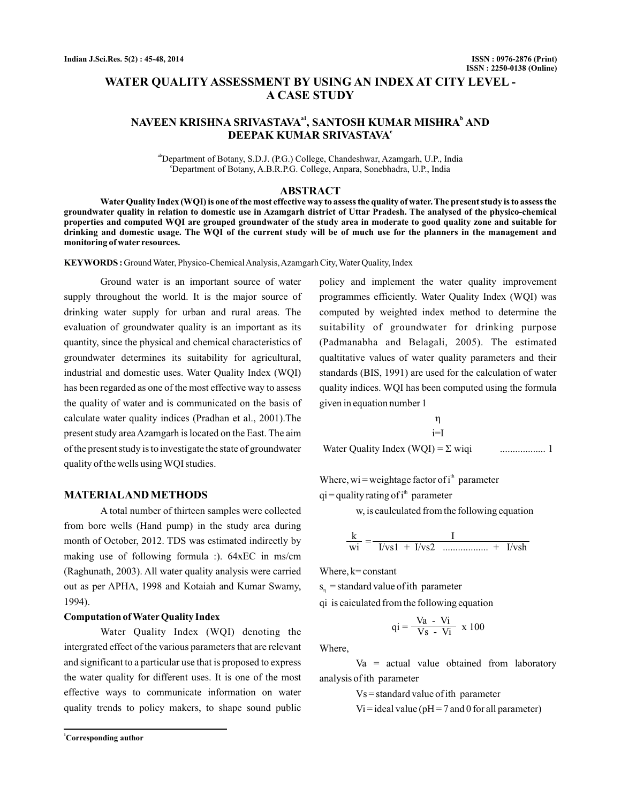# **WATER QUALITY ASSESSMENT BY USING AN INDEX AT CITY LEVEL - A CASE STUDY**

## NAVEEN KRISHNA SRIVASTAVAª', SANTOSH KUMAR MISHRA<sup>b</sup> AND **DEEPAK KUMAR SRIVASTAVA c**

ab Department of Botany, S.D.J. (P.G.) College, Chandeshwar, Azamgarh, U.P., India c Department of Botany, A.B.R.P.G. College, Anpara, Sonebhadra, U.P., India

## **ABSTRACT**

**Water Quality Index (WQI) is one of the most effective way to assess the quality of water. The present study is to assess the groundwater quality in relation to domestic use in Azamgarh district of Uttar Pradesh. The analysed of the physico-chemical properties and computed WQI are grouped groundwater of the study area in moderate to good quality zone and suitable for drinking and domestic usage. The WQI of the current study will be of much use for the planners in the management and monitoring of water resources.**

**KEYWORDS :** Ground Water, Physico-ChemicalAnalysis,Azamgarh City, Water Quality, Index

Ground water is an important source of water supply throughout the world. It is the major source of drinking water supply for urban and rural areas. The evaluation of groundwater quality is an important as its quantity, since the physical and chemical characteristics of groundwater determines its suitability for agricultural, industrial and domestic uses. Water Quality Index (WQI) has been regarded as one of the most effective way to assess the quality of water and is communicated on the basis of calculate water quality indices (Pradhan et al., 2001).The present study areaAzamgarh is located on the East. The aim of the present study is to investigate the state of groundwater quality of the wells using WQI studies.

## **MATERIALAND METHODS**

A total number of thirteen samples were collected from bore wells (Hand pump) in the study area during month of October, 2012. TDS was estimated indirectly by making use of following formula :). 64xEC in ms/cm (Raghunath, 2003). All water quality analysis were carried out as per APHA, 1998 and Kotaiah and Kumar Swamy, 1994).

#### **Computation of Water Quality Index**

Water Quality Index (WQI) denoting the intergrated effect of the various parameters that are relevant and significant to a particular use that is proposed to express the water quality for different uses. It is one of the most effective ways to communicate information on water quality trends to policy makers, to shape sound public

policy and implement the water quality improvement programmes efficiently. Water Quality Index (WQI) was computed by weighted index method to determine the suitability of groundwater for drinking purpose (Padmanabha and Belagali, 2005). The estimated qualtitative values of water quality parameters and their standards (BIS, 1991) are used for the calculation of water quality indices. WQI has been computed using the formula given in equation number 1

$$
\eta
$$
  
i=I  
Water Quality Index (WQI) =  $\Sigma$  wiqi 1...

Where, wi = weightage factor of  $i<sup>th</sup>$  parameter

 $qi =$ quality rating of i<sup>th</sup> parameter

w, is caulculated from the following equation

$$
\frac{k}{wi} = \frac{I}{I/vs1 + I/vs2}
$$

Where,  $k$  = constant

 $s_n$  = standard value of ith parameter

qi is caiculated from the following equation

$$
qi = \frac{Va - Vi}{Vs - Vi} \times 100
$$

Where,

 $Va = actual value obtained from laboratory$ analysis of ith parameter

Vs = standard value of ith parameter

 $Vi = ideal value (pH = 7 and 0 for all parameter)$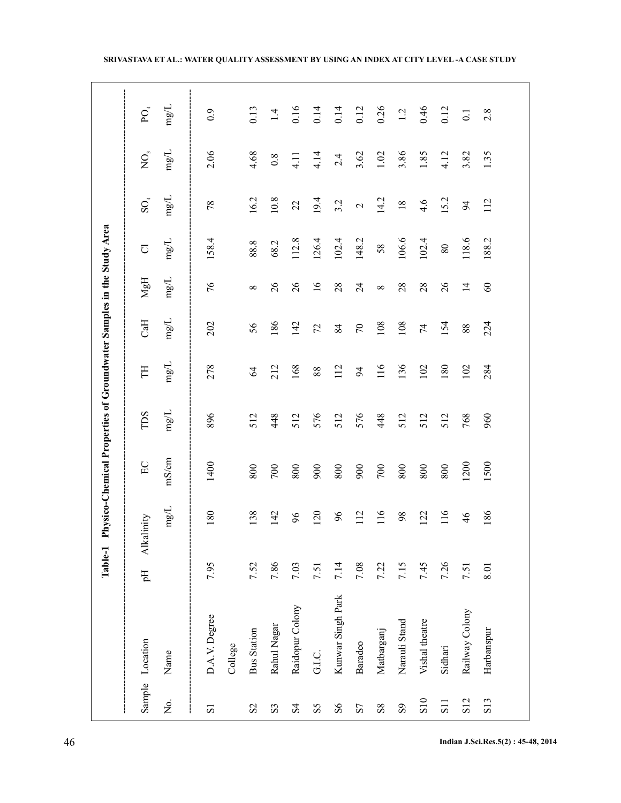|                         |                    | Table-1    |               | Physico-Chemical Properties of Groundwater Samples in the Study Area |            |                |                |                 |        |                 |                |                  |
|-------------------------|--------------------|------------|---------------|----------------------------------------------------------------------|------------|----------------|----------------|-----------------|--------|-----------------|----------------|------------------|
|                         | Sample Location    | Alka<br>Hq | dinity        | E                                                                    | TDS        | H              | CaH            | HaN             | U      | $\mathrm{SO}_4$ | $\overline{O}$ | ${\rm PO}_4$     |
| $\rm \dot{M}$           | Name               |            | $\rm mg/L$    | mS/cm                                                                | $\rm mg/L$ | mg/L           | mg/L           | mg/L            | mg/L   | mg/L            | mg/L           | mg/L             |
| $\overline{\textbf{S}}$ | D.A.V. Degree      | 7.95       | 180           | 1400                                                                 | 896        | 278            | 202            | 97              | 58.4   | 78              | 2.06           | 0.9              |
|                         | College            |            |               |                                                                      |            |                |                |                 |        |                 |                |                  |
| S <sub>2</sub>          | <b>Bus Station</b> | 7.52       | 138           | 800                                                                  | 512        | $\mathcal{A}$  | 56             | $\infty$        | 88.8   | 16.2            | 4.68           | 0.13             |
| S <sub>3</sub>          | Rahul Nagar        | 7.86       | 142           | $700\,$                                                              | 448        | 212            | 186            | 26              | 68.2   | $10.8\,$        | 0.8            | 1.4              |
| S <sub>4</sub>          | Raidopur Colony    | 7.03       | 66            | 800                                                                  | 512        | 168            | 142            | 26              | 112.8  | 22              | 4.11           | 0.16             |
| SS                      | G.I.C.             | 7.51       | 120           | 900                                                                  | 576        | 88             | 72             | $\overline{16}$ | 126.4  | 19.4            | 4.14           | 0.14             |
| 86                      | Kunwar Singh Park  | 7.14       | 96            | 800                                                                  | 512        | 112            | 84             | 28              | 102.4  | 3.2             | 2.4            | 0.14             |
| S7                      | Baradeo            | $7.08\,$   | 112           | 900                                                                  | 576        | $\overline{6}$ | $\mathcal{L}$  | $\overline{24}$ | 148.2  | $\mathcal{L}$   | 3.62           | 0.12             |
| ${\rm s}8$              | Matbarganj         | 7.22       | 116           | 700                                                                  | 448        | 116            | 108            | $\infty$        | 58     | 14.2            | 1.02           | 0.26             |
| $\overline{S}$          | Narauli Stand      | 7.15       | 98            | 800                                                                  | 512        | 136            | 108            | 28              | 106.6  | $18\,$          | 3.86           | 1.2              |
| S10                     | Vishal theatre     | 7.45       | 122           | 800                                                                  | 512        | 102            | $\overline{7}$ | 28              | 102.4  | 4.6             | 1.85           | 0.46             |
| S <sub>11</sub>         | Sidhari            | 7.26       | 116           | 800                                                                  | 512        | 180            | 154            | 26              | $80\,$ | 15.2            | 4.12           | 0.12             |
| S <sub>12</sub>         | Railway Colony     | 7.51       | $\frac{4}{6}$ | 1200                                                                 | 768        | 102            | 88             | $\overline{1}$  | 118.6  | 94              | 3.82           | $\overline{0}$ . |
| S <sub>13</sub>         | Harbanspur         | 8.01       | 186           | 1500                                                                 | 960        | 284            | 224            | $\infty$        | 188.2  | 112             | 1.35           | 2.8              |
|                         |                    |            |               |                                                                      |            |                |                |                 |        |                 |                |                  |

46 **Indian J.Sci.Res.5(2) : 45-48, 2014**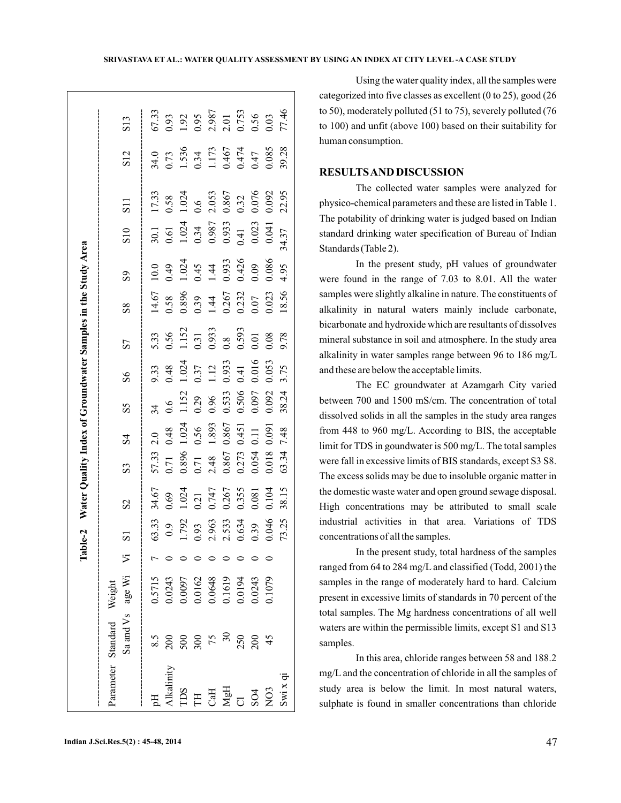| SRIVASTAVA ET AL.: WATER QUALITY ASSESSMENT BY USING AN INDEX AT CITY LEVEL -A CASE STUDY |  |
|-------------------------------------------------------------------------------------------|--|
|-------------------------------------------------------------------------------------------|--|

|                          |                                               |                                      | $\mathbf{a}$ | $ble-2$                         |                |                |                 |                |                | Water Quality Index of Groundwater Samples in the Study Area  |                                                                                        |                |                                           |                 |                                 |                                                |
|--------------------------|-----------------------------------------------|--------------------------------------|--------------|---------------------------------|----------------|----------------|-----------------|----------------|----------------|---------------------------------------------------------------|----------------------------------------------------------------------------------------|----------------|-------------------------------------------|-----------------|---------------------------------|------------------------------------------------|
| <br> <br> <br> <br> <br> | Sa and Vs age Wi<br>Parameter Standard Weight |                                      | 乞            | $\overline{5}$                  | $\overline{S}$ | S3             | $\overline{2}$  | SS             | $\overline{S}$ | 57                                                            | $\overline{\text{8}}$                                                                  | $\overline{S}$ | $\frac{1}{2}$                             | $\overline{11}$ | S <sub>12</sub>                 | S13                                            |
| H                        | 8.5                                           | 0.5715                               |              | 63.33                           | 34.67          | 57.33          | $\frac{0}{2}$   | $\tilde{4}$    | 9.33           | 5.33                                                          | 14.67                                                                                  | 10.0           | 30.1                                      | 17.33           | 34.0                            | 67.33                                          |
| <b>Ikalinity</b>         | 200                                           | 0.243                                |              | $_{0.9}$                        | 0.69           | 0.71           | 0.48            | 0.6            | 0.48           |                                                               |                                                                                        | 0.49           | 0.61                                      | 0.58            | 0.73                            |                                                |
| <b>CCL</b>               |                                               |                                      |              |                                 | 1.024          | 0.896          | 1.024           | 1.152          | 1.024          | $\begin{array}{c} 0.56 \\ 1.152 \\ 0.31 \\ 0.933 \end{array}$ | $\begin{array}{r} 0.58 \\ 0.896 \\ 0.39 \\ 1.44 \\ 0.267 \\ 0.232 \\ 0.07 \end{array}$ | 1.024          |                                           | 1.024           |                                 | 0.93<br>1.92<br>0.987<br>2.01<br>0.753<br>0.03 |
| H                        | $300$<br>$75$                                 |                                      |              |                                 | 0.21           | 0.71           |                 |                |                |                                                               |                                                                                        |                |                                           | 0.6             |                                 |                                                |
|                          |                                               |                                      |              |                                 | 0.747          | 2.48           | $0.56$<br>1.893 | 0.29<br>0.96   | 0.37<br>1.12   |                                                               |                                                                                        | 1.44           |                                           | 2.053           |                                 |                                                |
| $CaH$<br>MgH             | 30                                            | 0.0097<br>0.0162<br>0.0648<br>0.1619 |              | 1.792<br>0.93<br>2.963<br>2.533 | 0.267          | 0.867          | 0.867           | 0.533          | 0.933          | 0.8                                                           |                                                                                        | 0.933          | $1.024$<br>0.34<br>0.987<br>0.933<br>0.41 | 0.867           | 1.536<br>0.34<br>1.173<br>0.467 |                                                |
| .<br>ನ                   | 250                                           |                                      |              | $\frac{0.634}{0.39}$            | 0.355          | 0.273<br>0.054 | 0.451           | 0.506<br>0.097 | 0.41           | 0.593                                                         |                                                                                        |                |                                           |                 | $0.474$<br>$0.47$               |                                                |
| SO4                      | 200                                           | 0.0194                               |              |                                 | 0.081          |                | 0.11            |                | 0.016          | 0.01                                                          |                                                                                        | 0.426          |                                           | 0.32<br>0.076   |                                 |                                                |
| N <sub>O</sub> 3         | 45                                            | 1079                                 |              | 0.046                           | 0.104          | 0.018          | 0.091           | 0.092          | 0.053          | 0.08                                                          | 0.23                                                                                   | 0.086          | 0.041                                     | 0.092           | 0.085                           |                                                |
| Swi x qi                 |                                               |                                      |              | 73.25                           | 38.15          | 63.34          | 7.48            | 38.24          | 3.75           | 9.78                                                          | 18.56                                                                                  | 1.95           | 34.37                                     | 22.95           | 39.28                           | 77.46                                          |

Using the water quality index, all the samples were categorized into five classes as excellent (0 to 25), good (26 to 50), moderately polluted (51 to 75), severely polluted (76 to 100) and unfit (above 100) based on their suitability for human consumption.

## **RESULTSAND DISCUSSION**

The collected water samples were analyzed for physico-chemical parameters and these are listed in Table 1. The potability of drinking water is judged based on Indian standard drinking water specification of Bureau of Indian Standards (Table 2).

In the present study, pH values of groundwater were found in the range of 7.03 to 8.01. All the water samples were slightly alkaline in nature. The constituents of alkalinity in natural waters mainly include carbonate, bicarbonate and hydroxide which are resultants of dissolves mineral substance in soil and atmosphere. In the study area alkalinity in water samples range between 96 to 186 mg/L and these are below the acceptable limits.

The EC groundwater at Azamgarh City varied between 700 and 1500 mS/cm. The concentration of total dissolved solids in all the samples in the study area ranges from 448 to 960 mg/L. According to BIS, the acceptable limit for TDS in goundwater is 500 mg/L. The total samples were fall in excessive limits of BIS standards, except S3 S8. The excess solids may be due to insoluble organic matter in the domestic waste water and open ground sewage disposal. High concentrations may be attributed to small scale industrial activities in that area. Variations of TDS concentrations of all the samples.

In the present study, total hardness of the samples ranged from 64 to 284 mg/L and classified (Todd, 2001) the samples in the range of moderately hard to hard. Calcium present in excessive limits of standards in 70 percent of the total samples. The Mg hardness concentrations of all well waters are within the permissible limits, except S1 and S13 samples.

In this area, chloride ranges between 58 and 188.2 mg/L and the concentration of chloride in all the samples of study area is below the limit. In most natural waters, sulphate is found in smaller concentrations than chloride